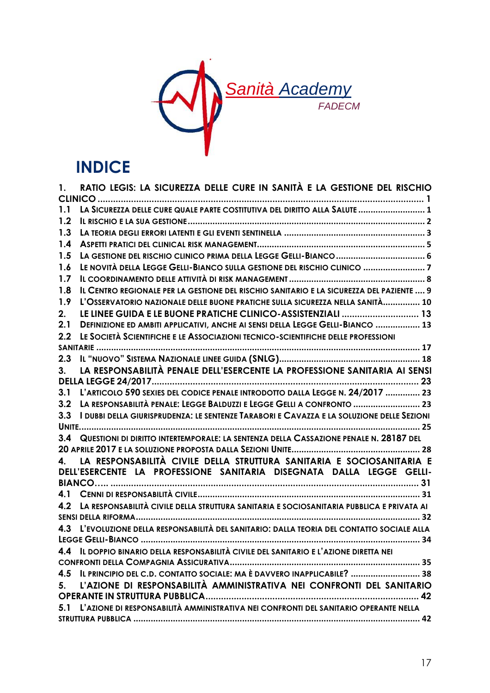

## **INDICE**

| 1.      | RATIO LEGIS: LA SICUREZZA DELLE CURE IN SANITÀ E LA GESTIONE DEL RISCHIO                  |  |  |  |  |
|---------|-------------------------------------------------------------------------------------------|--|--|--|--|
|         |                                                                                           |  |  |  |  |
|         |                                                                                           |  |  |  |  |
| 1.2     |                                                                                           |  |  |  |  |
| 1.3     |                                                                                           |  |  |  |  |
| 1.4     |                                                                                           |  |  |  |  |
| 1.5     | LA GESTIONE DEL RISCHIO CLINICO PRIMA DELLA LEGGE GELLI-BIANCO  6                         |  |  |  |  |
| 1.6     | LE NOVITÀ DELLA LEGGE GELLI-BIANCO SULLA GESTIONE DEL RISCHIO CLINICO 7                   |  |  |  |  |
| 1.7     |                                                                                           |  |  |  |  |
| 1.8     | IL CENTRO REGIONALE PER LA GESTIONE DEL RISCHIO SANITARIO E LA SICUREZZA DEL PAZIENTE  9  |  |  |  |  |
| 1.9     | L'OSSERVATORIO NAZIONALE DELLE BUONE PRATICHE SULLA SICUREZZA NELLA SANITÀ 10             |  |  |  |  |
| 2.      | LE LINEE GUIDA E LE BUONE PRATICHE CLINICO-ASSISTENZIALI  13                              |  |  |  |  |
| 2.1     | DEFINIZIONE ED AMBITI APPLICATIVI, ANCHE AI SENSI DELLA LEGGE GELLI-BIANCO  13            |  |  |  |  |
| 2.2     | LE SOCIETÀ SCIENTIFICHE E LE ASSOCIAZIONI TECNICO-SCIENTIFICHE DELLE PROFESSIONI          |  |  |  |  |
|         |                                                                                           |  |  |  |  |
| 2.3     |                                                                                           |  |  |  |  |
| 3.      | LA RESPONSABILITÀ PENALE DELL'ESERCENTE LA PROFESSIONE SANITARIA AI SENSI                 |  |  |  |  |
|         |                                                                                           |  |  |  |  |
| 3.1     | L'ARTICOLO 590 SEXIES DEL CODICE PENALE INTRODOTTO DALLA LEGGE N. 24/2017  23             |  |  |  |  |
| 3.2     | LA RESPONSABILITÀ PENALE: LEGGE BALDUZZI E LEGGE GELLI A CONFRONTO  23                    |  |  |  |  |
| 3.3     | I DUBBI DELLA GIURISPRUDENZA: LE SENTENZE TARABORI E CAVAZZA E LA SOLUZIONE DELLE SEZIONI |  |  |  |  |
|         |                                                                                           |  |  |  |  |
| 3.4     | QUESTIONI DI DIRITTO INTERTEMPORALE: LA SENTENZA DELLA CASSAZIONE PENALE N. 28187 DEL     |  |  |  |  |
|         |                                                                                           |  |  |  |  |
| $4_{-}$ | LA RESPONSABILITÀ CIVILE DELLA STRUTTURA SANITARIA E SOCIOSANITARIA E                     |  |  |  |  |
|         | DELL'ESERCENTE LA PROFESSIONE SANITARIA DISEGNATA DALLA LEGGE GELLI-                      |  |  |  |  |
|         |                                                                                           |  |  |  |  |
|         |                                                                                           |  |  |  |  |
| 4.2     | LA RESPONSABILITÀ CIVILE DELLA STRUTTURA SANITARIA E SOCIOSANITARIA PUBBLICA E PRIVATA AI |  |  |  |  |
|         |                                                                                           |  |  |  |  |
| 4.3     | L'EVOLUZIONE DELLA RESPONSABILITÀ DEL SANITARIO: DALLA TEORIA DEL CONTATTO SOCIALE ALLA   |  |  |  |  |
|         |                                                                                           |  |  |  |  |
|         | 4.4 IL DOPPIO BINARIO DELLA RESPONSABILITÀ CIVILE DEL SANITARIO E L'AZIONE DIRETTA NEI    |  |  |  |  |
|         |                                                                                           |  |  |  |  |
|         | 4.5 IL PRINCIPIO DEL C.D. CONTATTO SOCIALE: MA È DAVVERO INAPPLICABILE?  38               |  |  |  |  |
|         | 5. L'AZIONE DI RESPONSABILITÀ AMMINISTRATIVA NEI CONFRONTI DEL SANITARIO                  |  |  |  |  |
|         |                                                                                           |  |  |  |  |
|         | 5.1 L'AZIONE DI RESPONSABILITÀ AMMINISTRATIVA NEI CONFRONTI DEL SANITARIO OPERANTE NELLA  |  |  |  |  |
|         |                                                                                           |  |  |  |  |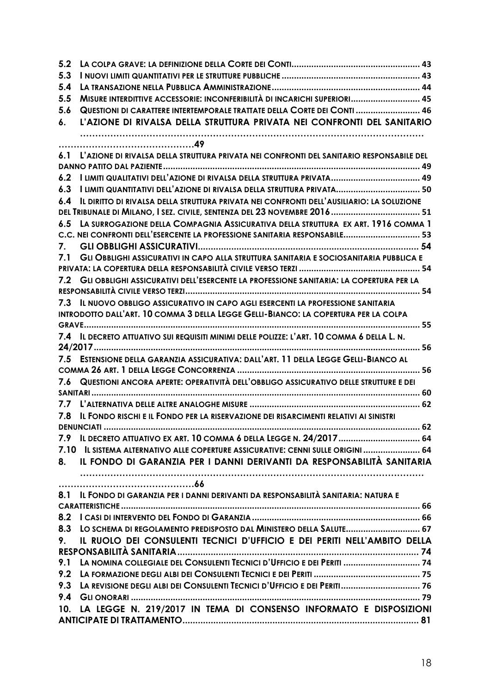| 5.2 |                                                                                              |
|-----|----------------------------------------------------------------------------------------------|
| 5.3 |                                                                                              |
| 5.4 |                                                                                              |
| 5.5 | MISURE INTERDITTIVE ACCESSORIE: INCONFERIBILITÀ DI INCARICHI SUPERIORI 45                    |
| 5.6 | QUESTIONI DI CARATTERE INTERTEMPORALE TRATTATE DELLA CORTE DEI CONTI  46                     |
| 6.  | L'AZIONE DI RIVALSA DELLA STRUTTURA PRIVATA NEI CONFRONTI DEL SANITARIO                      |
|     |                                                                                              |
|     | 6.1 L'AZIONE DI RIVALSA DELLA STRUTTURA PRIVATA NEI CONFRONTI DEL SANITARIO RESPONSABILE DEL |
|     |                                                                                              |
| 6.2 |                                                                                              |
| 6.3 | I LIMITI QUANTITATIVI DELL'AZIONE DI RIVALSA DELLA STRUTTURA PRIVATA 50                      |
| 6.4 | IL DIRITTO DI RIVALSA DELLA STRUTTURA PRIVATA NEI CONFRONTI DELL'AUSILIARIO: LA SOLUZIONE    |
|     | DEL TRIBUNALE DI MILANO, I SEZ. CIVILE, SENTENZA DEL 23 NOVEMBRE 2016  51                    |
| 6.5 | LA SURROGAZIONE DELLA COMPAGNIA ASSICURATIVA DELLA STRUTTURA EX ART. 1916 COMMA 1            |
|     | C.C. NEI CONFRONTI DELL'ESERCENTE LA PROFESSIONE SANITARIA RESPONSABILE 53                   |
| 7.  |                                                                                              |
| 7.1 | GLI OBBLIGHI ASSICURATIVI IN CAPO ALLA STRUTTURA SANITARIA E SOCIOSANITARIA PUBBLICA E       |
|     |                                                                                              |
|     | 7.2 GLI OBBLIGHI ASSICURATIVI DELL'ESERCENTE LA PROFESSIONE SANITARIA: LA COPERTURA PER LA   |
|     |                                                                                              |
|     | 7.3 IL NUOVO OBBLIGO ASSICURATIVO IN CAPO AGLI ESERCENTI LA PROFESSIONE SANITARIA            |
|     | INTRODOTTO DALL'ART. 10 COMMA 3 DELLA LEGGE GELLI-BIANCO: LA COPERTURA PER LA COLPA          |
|     |                                                                                              |
| 7.4 | IL DECRETO ATTUATIVO SUI REQUISITI MINIMI DELLE POLIZZE: L'ART. 10 COMMA 6 DELLA L. N.       |
|     |                                                                                              |
|     | 7.5 ESTENSIONE DELLA GARANZIA ASSICURATIVA: DALL'ART. 11 DELLA LEGGE GELLI-BIANCO AL         |
|     |                                                                                              |
|     | 7.6 QUESTIONI ANCORA APERTE: OPERATIVITÀ DELL'OBBLIGO ASSICURATIVO DELLE STRUTTURE E DEI     |
|     |                                                                                              |
| 7.7 |                                                                                              |
| 7.8 | IL FONDO RISCHI E IL FONDO PER LA RISERVAZIONE DEI RISARCIMENTI RELATIVI AI SINISTRI         |
|     | <b>DENUNCIATI </b>                                                                           |
|     | 7.9 IL DECRETO ATTUATIVO EX ART. 10 COMMA 6 DELLA LEGGE N. 24/2017 64                        |
|     | 7.10 IL SISTEMA ALTERNATIVO ALLE COPERTURE ASSICURATIVE: CENNI SULLE ORIGINI  64             |
| 8.  | IL FONDO DI GARANZIA PER I DANNI DERIVANTI DA RESPONSABILITÀ SANITARIA                       |
|     |                                                                                              |
| 8.1 | IL FONDO DI GARANZIA PER I DANNI DERIVANTI DA RESPONSABILITÀ SANITARIA: NATURA E             |
|     |                                                                                              |
| 8.2 |                                                                                              |
| 8.3 | LO SCHEMA DI REGOLAMENTO PREDISPOSTO DAL MINISTERO DELLA SALUTE 67                           |
| 9.  | IL RUOLO DEI CONSULENTI TECNICI D'UFFICIO E DEI PERITI NELL'AMBITO DELLA                     |
|     |                                                                                              |
| 9.1 | LA NOMINA COLLEGIALE DEL CONSULENTI TECNICI D'UFFICIO E DEI PERITI  74                       |
| 9.2 |                                                                                              |
|     | 9.3 LA REVISIONE DEGLI ALBI DEI CONSULENTI TECNICI D'UFFICIO E DEI PERITI 76                 |
| 9.4 |                                                                                              |
|     | 10. LA LEGGE N. 219/2017 IN TEMA DI CONSENSO INFORMATO E DISPOSIZIONI                        |
|     |                                                                                              |
|     |                                                                                              |